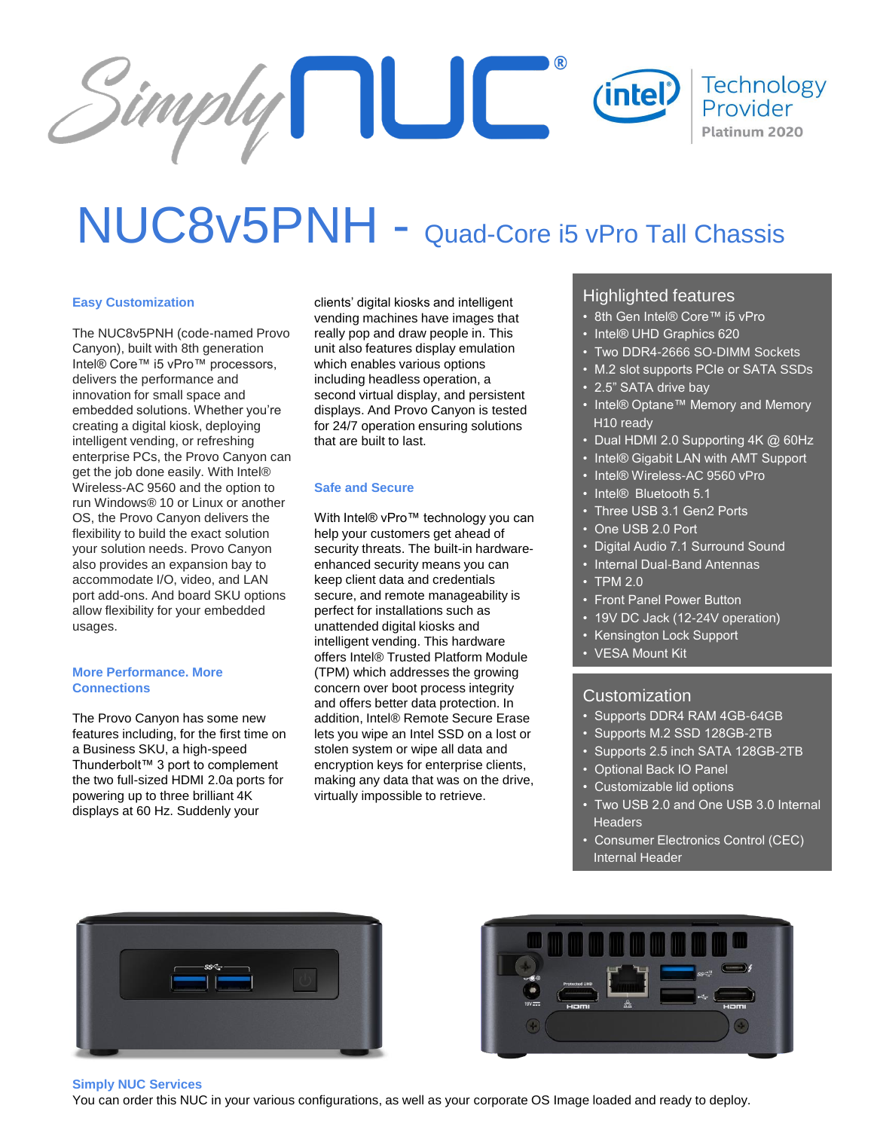

# NUC8v5PNH - Quad-Core i5 vPro Tall Chassis

## **Easy Customization**

The NUC8v5PNH (code-named Provo Canyon), built with 8th generation Intel® Core™ i5 vPro™ processors, delivers the performance and innovation for small space and embedded solutions. Whether you're creating a digital kiosk, deploying intelligent vending, or refreshing enterprise PCs, the Provo Canyon can get the job done easily. With Intel® Wireless-AC 9560 and the option to run Windows® 10 or Linux or another OS, the Provo Canyon delivers the flexibility to build the exact solution your solution needs. Provo Canyon also provides an expansion bay to accommodate I/O, video, and LAN port add-ons. And board SKU options allow flexibility for your embedded usages.

### **More Performance. More Connections**

The Provo Canyon has some new features including, for the first time on a Business SKU, a high-speed Thunderbolt™ 3 port to complement the two full-sized HDMI 2.0a ports for powering up to three brilliant 4K displays at 60 Hz. Suddenly your

clients' digital kiosks and intelligent vending machines have images that really pop and draw people in. This unit also features display emulation which enables various options including headless operation, a second virtual display, and persistent displays. And Provo Canyon is tested for 24/7 operation ensuring solutions that are built to last.

## **Safe and Secure**

With Intel® vPro™ technology you can help your customers get ahead of security threats. The built-in hardwareenhanced security means you can keep client data and credentials secure, and remote manageability is perfect for installations such as unattended digital kiosks and intelligent vending. This hardware offers Intel® Trusted Platform Module (TPM) which addresses the growing concern over boot process integrity and offers better data protection. In addition, Intel® Remote Secure Erase lets you wipe an Intel SSD on a lost or stolen system or wipe all data and encryption keys for enterprise clients, making any data that was on the drive, virtually impossible to retrieve.

## Highlighted features

- 8th Gen Intel® Core™ i5 vPro
- Intel® UHD Graphics 620
- Two DDR4-2666 SO-DIMM Sockets
- M.2 slot supports PCIe or SATA SSDs
- 2.5" SATA drive bay
- Intel® Optane™ Memory and Memory H10 ready
- $\cdot$  Dual HDMI 2.0 Supporting 4K @ 60Hz
- Intel® Gigabit LAN with AMT Support
- Intel® Wireless-AC 9560 vPro
- Intel® Bluetooth 5.1
- Three USB 3.1 Gen2 Ports
- One USB 2.0 Port
- Digital Audio 7.1 Surround Sound
- Internal Dual-Band Antennas
- TPM 2.0
- Front Panel Power Button
- 19V DC Jack (12-24V operation)
- Kensington Lock Support
- VESA Mount Kit

## Customization

- Supports DDR4 RAM 4GB-64GB
- Supports M.2 SSD 128GB-2TB
- Supports 2.5 inch SATA 128GB-2TB
- Optional Back IO Panel
- Customizable lid options
- Two USB 2.0 and One USB 3.0 Internal **Headers**
- Consumer Electronics Control (CEC) Internal Header





#### **Simply NUC Services**

You can order this NUC in your various configurations, as well as your corporate OS Image loaded and ready to deploy.